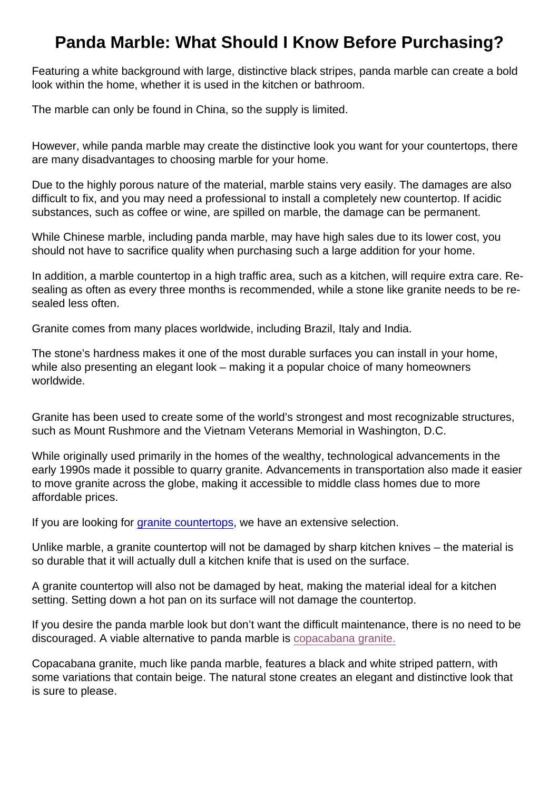## Panda Marble: What Should I Know Before Purchasing?

Featuring a white background with large, distinctive black stripes, panda marble can create a bold look within the home, whether it is used in the kitchen or bathroom.

The marble can only be found in China, so the supply is limited.

However, while panda marble may create the distinctive look you want for your countertops, there are many disadvantages to choosing marble for your home.

Due to the highly porous nature of the material, marble stains very easily. The damages are also difficult to fix, and you may need a professional to install a completely new countertop. If acidic substances, such as coffee or wine, are spilled on marble, the damage can be permanent.

While Chinese marble, including panda marble, may have high sales due to its lower cost, you should not have to sacrifice quality when purchasing such a large addition for your home.

In addition, a marble countertop in a high traffic area, such as a kitchen, will require extra care. Resealing as often as every three months is recommended, while a stone like granite needs to be resealed less often.

Granite comes from many places worldwide, including Brazil, Italy and India.

The stone's hardness makes it one of the most durable surfaces you can install in your home, while also presenting an elegant look – making it a popular choice of many homeowners worldwide.

Granite has been used to create some of the world's strongest and most recognizable structures, such as Mount Rushmore and the Vietnam Veterans Memorial in Washington, D.C.

While originally used primarily in the homes of the wealthy, technological advancements in the early 1990s made it possible to quarry granite. Advancements in transportation also made it easier to move granite across the globe, making it accessible to middle class homes due to more affordable prices.

If you are looking for [granite countertops,](https://marble.com/granite-countertops) we have an extensive selection.

Unlike marble, a granite countertop will not be damaged by sharp kitchen knives – the material is so durable that it will actually dull a kitchen knife that is used on the surface.

A granite countertop will also not be damaged by heat, making the material ideal for a kitchen setting. Setting down a hot pan on its surface will not damage the countertop.

If you desire the panda marble look but don't want the difficult maintenance, there is no need to be discouraged. A viable alternative to panda marble is [copacabana granite.](https://marble.com/granite-countertops/copacabana/615)

Copacabana granite, much like panda marble, features a black and white striped pattern, with some variations that contain beige. The natural stone creates an elegant and distinctive look that is sure to please.